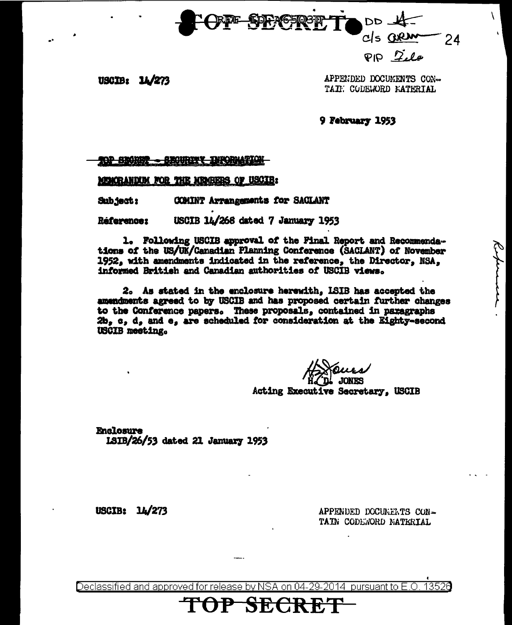

 $PDZile$ 

USCIB: 14/273

APPENDED DOCUMENTS CON-TAIL CODEJORD MATERIAL

9 February 1953

<del>SBORBT.</del> 

MUNCRANDUM FOR THE MUNISIPS OF USCIE:

COMINT Arrangements for SACLANT **Sub ject:** 

USCIB 14/268 dated 7 January 1953 Réference:

1. Following USCIB approval of the Final Report and Recommendations of the US/UK/Canadian Planning Conference (SACIANT) of November 1952, with amendments indicated in the reference, the Director, NSA, informed British and Canadian authorities of USCIB views.

2. As stated in the enclosure herewith, LSIB has accepted the amendments agreed to by USCIB and has proposed certain further changes to the Conference papers. These proposals, contained in paragraphs 2b, c, d, and e, are scheduled for consideration at the Eighty-second **USCIB** meeting.

**JONES** Acting Executive Secretary. USCIB

**Enclosure** 1SIB/26/53 dated 21 January 1953

USCIB:  $14/273$ 

APPENDED DOCUMENTS CON-TAIN CODEWORD NATERIAL

Declassified and approved for release by NSA on 04-29-2014 pursuant to E.O. 13526

P SECRET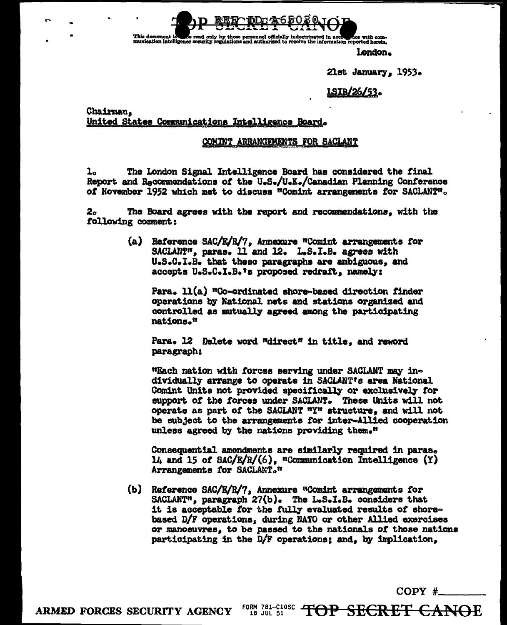document is see read only by those personnel officially indoctrinated in accounties with com-<br>cation intelligence security regulations and authorized to receive the information reported herein. This document is

London.

21st January, 1953.

**LSIB/26/53.** 

Chairman. United States Communications Intelligence Board.

## COMINT ARRANGEMENTS FOR SACLANT

The London Signal Intelligence Board has considered the final l. Report and Recommendations of the U.S./U.K./Canadian Planning Conference of November 1952 which met to discuss "Comint arrangements for SACLANT".

 $2<sub>o</sub>$ The Board agrees with the report and recommendations, with the following comment:

> (a) Reference SAC/E/R/7, Annexure "Comint arrangements for SACLANT", paras. 11 and 12. L.S.I.B. agrees with U.S.C.I.B. that these paragraphs are ambiguous, and accepts U.S.C.I.B.'s proposed redraft, namely:

Para. 11(a) "Co-ordinated shore-based direction finder operations by National nets and stations organized and controlled as mutually agreed among the participating nations."

Para. 12 Delete word "direct" in title, and reword paragraph:

"Each nation with forces serving under SACIANT may individually arrange to operate in SACLANT's area National Comint Units not provided specifically or exclusively for support of the forces under SACIANT. These Units will not operate as part of the SACLANT "Y" structure, and will not be subject to the arrangements for inter-Allied cooperation unless agreed by the nations providing them."

Consequential amendments are similarly required in paras. 14 and 15 of SAC/E/R/(6), "Communication Intelligence (Y) Arrangements for SACLANT."

(b) Reference SAC/E/R/7, Annexure "Comint arrangements for SACLANT", paragraph 27(b). The L.S.I.B. considers that it is acceptable for the fully evaluated results of shorebased D/F operations, during NATO or other Allied exercises or manoeuvres, to be passed to the nationals of those nations participating in the D/F operations; and, by implication,

 $COPY$  #

FORM 781-C10SC TOP SECRET CANOE ARMED FORCES SECURITY AGENCY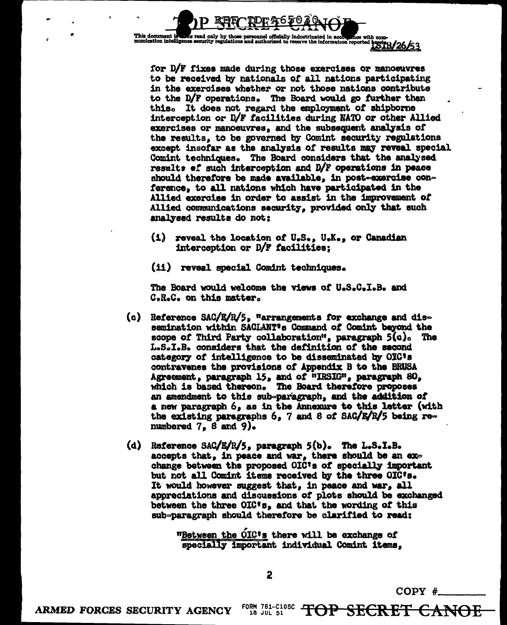

for D/F fixes made during those exercises or manoeuvres to be received by nationals of all nations participating in the exercises whether or not those nations contribute to the D/F operations. The Board would go further than this. It does not regard the employment of shipborne interception or D/F facilities during NATO or other Allied exercises or manoeuvres, and the subsequent analysis of the results, to be governed by Comint security regulations except insofar as the analysis of results may reveal special Comint techniques. The Board considers that the analysed results of such interception and D/F operations in peace should therefore be made available, in post-exercise conference, to all nations which have participated in the Allied exercise in order to assist in the improvement of Allied communications security, provided only that such analysed results do not:

- (i) reveal the location of U.S., U.K., or Canadian interception or D/F facilities;
- (ii) reveal special Comint techniques.

The Board would welcome the views of U.S.C.I.B. and C.R.C. on this matter.

- (c) Reference SAC/E/R/5, "arrangements for exchange and dissemination within SACLANT's Command of Comint beyond the scope of Third Party collaboration", paragraph  $5(c)$ . **The** L.S.I.B. considers that the definition of the second category of intelligence to be disseminated by OIC's contravenes the provisions of Appendix B to the BRUSA Agreement, paragraph 15, and of "IRSIG", paragraph 80. which is based thereon. The Board therefore proposes an amendment to this sub-paragraph, and the addition of a new paragraph 6, as in the Annexure to this letter (with the existing paragraphs 6, 7 and 8 of SAC/E/R/5 being renumbered  $7<sub>s</sub>$  8 and 9).
- (d) Reference SAC/E/R/5, paragraph 5(b). The L.S.I.B. accepts that, in peace and war, there should be an exchange between the proposed OIC's of specially important but not all Comint items received by the three OIC's. It would however suggest that, in peace and war, all appreciations and discussions of plots should be exchanged between the three OIC's, and that the wording of this sub-paragraph should therefore be clarified to read:

"Between the OIC's there will be exchange of specially important individual Comint items,

 $COPY$  #

FORM 781-C10SC TOP SECRET CANOE ARMED FORCES SECURITY AGENCY 18 JUL 51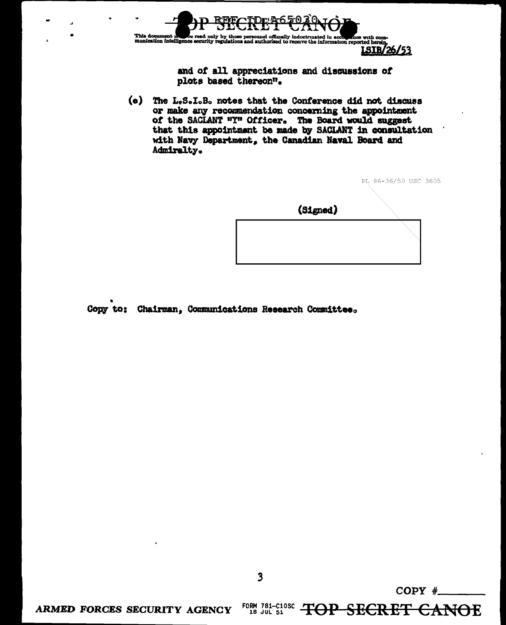

and of all appreciations and discussions of plots based thereon".

(e) The L.S.I.B. notes that the Conference did not discuss or make any recommendation concerning the appointment of the SACIANT "Y" Officer. The Board would suggest that this appointment be made by SACIANT in consultation with Navy Department, the Canadian Naval Board and Admiralty.



Copy to: Chairman, Communications Research Committee.

 $\overline{\mathbf{3}}$ 

 $COPY$  #